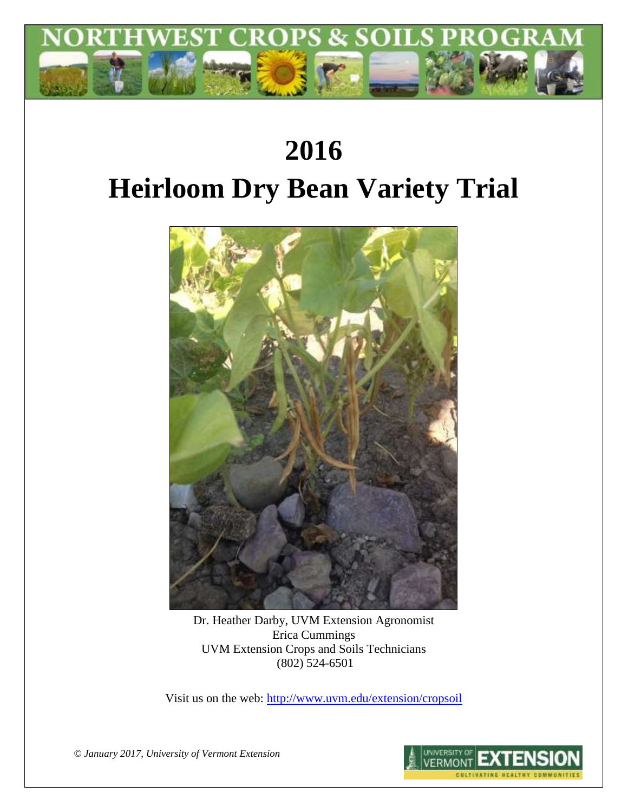

# **2016 Heirloom Dry Bean Variety Trial**



Dr. Heather Darby, UVM Extension Agronomist Erica Cummings UVM Extension Crops and Soils Technicians (802) 524-6501

Visit us on the web:<http://www.uvm.edu/extension/cropsoil>

*© January 2017, University of Vermont Extension*

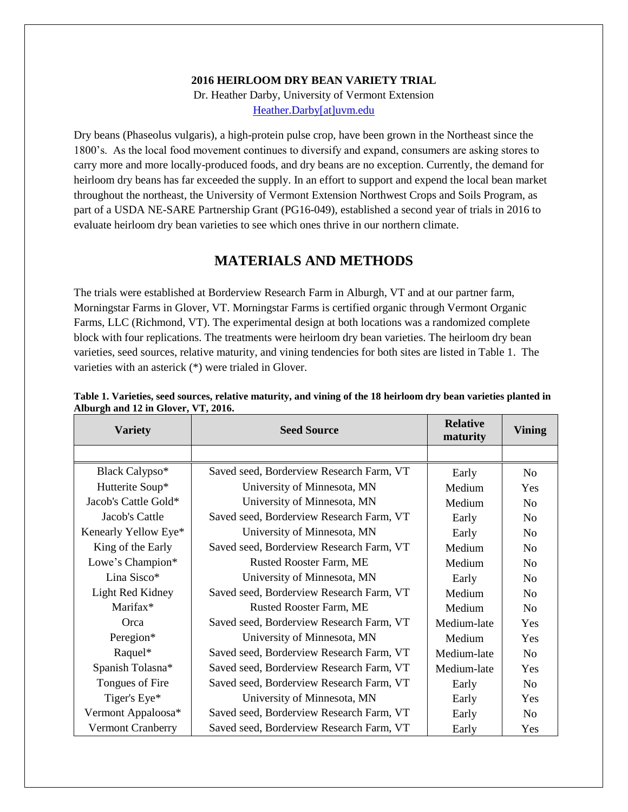#### **2016 HEIRLOOM DRY BEAN VARIETY TRIAL**

Dr. Heather Darby, University of Vermont Extension [Heather.Darby\[at\]uvm.edu](mailto:Heather.Darby@uvm.edu)

Dry beans (Phaseolus vulgaris), a high-protein pulse crop, have been grown in the Northeast since the 1800's. As the local food movement continues to diversify and expand, consumers are asking stores to carry more and more locally-produced foods, and dry beans are no exception. Currently, the demand for heirloom dry beans has far exceeded the supply. In an effort to support and expend the local bean market throughout the northeast, the University of Vermont Extension Northwest Crops and Soils Program, as part of a USDA NE-SARE Partnership Grant (PG16-049), established a second year of trials in 2016 to evaluate heirloom dry bean varieties to see which ones thrive in our northern climate.

## **MATERIALS AND METHODS**

The trials were established at Borderview Research Farm in Alburgh, VT and at our partner farm, Morningstar Farms in Glover, VT. Morningstar Farms is certified organic through Vermont Organic Farms, LLC (Richmond, VT). The experimental design at both locations was a randomized complete block with four replications. The treatments were heirloom dry bean varieties. The heirloom dry bean varieties, seed sources, relative maturity, and vining tendencies for both sites are listed in Table 1. The varieties with an asterick (\*) were trialed in Glover.

| $\frac{1}{2}$ = $\frac{1}{2}$ $\frac{1}{2}$ $\frac{1}{2}$ $\frac{1}{2}$ $\frac{1}{2}$ $\frac{1}{2}$ $\frac{1}{2}$ $\frac{1}{2}$ $\frac{1}{2}$ $\frac{1}{2}$ $\frac{1}{2}$ $\frac{1}{2}$ $\frac{1}{2}$ $\frac{1}{2}$ $\frac{1}{2}$ $\frac{1}{2}$ $\frac{1}{2}$ $\frac{1}{2}$ $\frac{1}{2}$ $\frac{1}{2}$ $\frac{1}{2}$<br><b>Variety</b> | <b>Seed Source</b>                       | <b>Relative</b><br>maturity | <b>Vining</b>  |
|-----------------------------------------------------------------------------------------------------------------------------------------------------------------------------------------------------------------------------------------------------------------------------------------------------------------------------------------|------------------------------------------|-----------------------------|----------------|
|                                                                                                                                                                                                                                                                                                                                         |                                          |                             |                |
| Black Calypso*                                                                                                                                                                                                                                                                                                                          | Saved seed, Borderview Research Farm, VT | Early                       | No             |
| Hutterite Soup*                                                                                                                                                                                                                                                                                                                         | University of Minnesota, MN              | Medium                      | Yes            |
| Jacob's Cattle Gold*                                                                                                                                                                                                                                                                                                                    | University of Minnesota, MN              | Medium                      | No             |
| Jacob's Cattle                                                                                                                                                                                                                                                                                                                          | Saved seed, Borderview Research Farm, VT | Early                       | No             |
| Kenearly Yellow Eye*                                                                                                                                                                                                                                                                                                                    | University of Minnesota, MN              | Early                       | No             |
| King of the Early                                                                                                                                                                                                                                                                                                                       | Saved seed, Borderview Research Farm, VT | Medium                      | No             |
| Lowe's Champion*                                                                                                                                                                                                                                                                                                                        | Rusted Rooster Farm, ME                  | Medium                      | No             |
| Lina Sisco*                                                                                                                                                                                                                                                                                                                             | University of Minnesota, MN              | Early                       | No             |
| Light Red Kidney                                                                                                                                                                                                                                                                                                                        | Saved seed, Borderview Research Farm, VT | Medium                      | No             |
| Marifax*                                                                                                                                                                                                                                                                                                                                | <b>Rusted Rooster Farm, ME</b>           | Medium                      | No             |
| Orca                                                                                                                                                                                                                                                                                                                                    | Saved seed, Borderview Research Farm, VT | Medium-late                 | Yes            |
| Peregion*                                                                                                                                                                                                                                                                                                                               | University of Minnesota, MN              | Medium                      | Yes            |
| Raquel*                                                                                                                                                                                                                                                                                                                                 | Saved seed, Borderview Research Farm, VT | Medium-late                 | N <sub>0</sub> |
| Spanish Tolasna*                                                                                                                                                                                                                                                                                                                        | Saved seed, Borderview Research Farm, VT | Medium-late                 | Yes            |
| Tongues of Fire                                                                                                                                                                                                                                                                                                                         | Saved seed, Borderview Research Farm, VT | Early                       | No             |
| Tiger's Eye*                                                                                                                                                                                                                                                                                                                            | University of Minnesota, MN              | Early                       | Yes            |
| Vermont Appaloosa*                                                                                                                                                                                                                                                                                                                      | Saved seed, Borderview Research Farm, VT | Early                       | N <sub>0</sub> |
| <b>Vermont Cranberry</b>                                                                                                                                                                                                                                                                                                                | Saved seed, Borderview Research Farm, VT | Early                       | Yes            |

## **Table 1. Varieties, seed sources, relative maturity, and vining of the 18 heirloom dry bean varieties planted in Alburgh and 12 in Glover, VT, 2016.**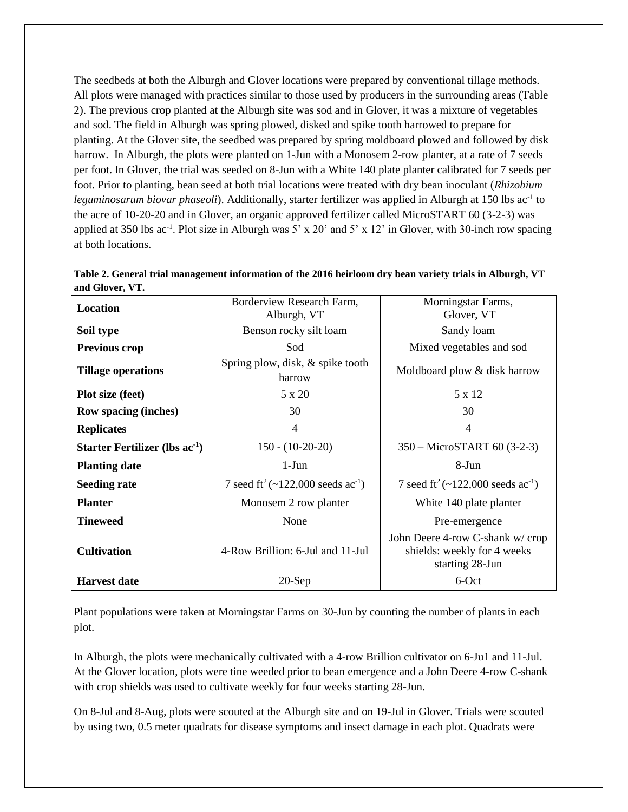The seedbeds at both the Alburgh and Glover locations were prepared by conventional tillage methods. All plots were managed with practices similar to those used by producers in the surrounding areas (Table 2). The previous crop planted at the Alburgh site was sod and in Glover, it was a mixture of vegetables and sod. The field in Alburgh was spring plowed, disked and spike tooth harrowed to prepare for planting. At the Glover site, the seedbed was prepared by spring moldboard plowed and followed by disk harrow. In Alburgh, the plots were planted on 1-Jun with a Monosem 2-row planter, at a rate of 7 seeds per foot. In Glover, the trial was seeded on 8-Jun with a White 140 plate planter calibrated for 7 seeds per foot. Prior to planting, bean seed at both trial locations were treated with dry bean inoculant (*Rhizobium*  leguminosarum biovar phaseoli). Additionally, starter fertilizer was applied in Alburgh at 150 lbs ac<sup>-1</sup> to the acre of 10-20-20 and in Glover, an organic approved fertilizer called MicroSTART 60 (3-2-3) was applied at 350 lbs ac<sup>-1</sup>. Plot size in Alburgh was 5' x 20' and 5' x 12' in Glover, with 30-inch row spacing at both locations.

| Location                            | Borderview Research Farm,                                 | Morningstar Farms,                                                                |
|-------------------------------------|-----------------------------------------------------------|-----------------------------------------------------------------------------------|
|                                     | Alburgh, VT                                               | Glover, VT                                                                        |
| Soil type                           | Benson rocky silt loam                                    | Sandy loam                                                                        |
| Previous crop                       | Sod                                                       | Mixed vegetables and sod                                                          |
| <b>Tillage operations</b>           | Spring plow, disk, & spike tooth<br>harrow                | Moldboard plow & disk harrow                                                      |
| <b>Plot size (feet)</b>             | 5 x 20                                                    | 5 x 12                                                                            |
| <b>Row spacing (inches)</b>         | 30                                                        | 30                                                                                |
| <b>Replicates</b>                   | 4                                                         | 4                                                                                 |
| Starter Fertilizer (lbs $ac^{-1}$ ) | $150 - (10-20-20)$                                        | 350 – MicroSTART 60 (3-2-3)                                                       |
| <b>Planting date</b>                | $1-J$ un                                                  | 8-Jun                                                                             |
| <b>Seeding rate</b>                 | 7 seed ft <sup>2</sup> (~122,000 seeds ac <sup>-1</sup> ) | 7 seed ft <sup>2</sup> (~122,000 seeds ac <sup>-1</sup> )                         |
| <b>Planter</b>                      | Monosem 2 row planter                                     | White 140 plate planter                                                           |
| <b>Tineweed</b>                     | None                                                      | Pre-emergence                                                                     |
| <b>Cultivation</b>                  | 4-Row Brillion: 6-Jul and 11-Jul                          | John Deere 4-row C-shank w/crop<br>shields: weekly for 4 weeks<br>starting 28-Jun |
| <b>Harvest date</b>                 | $20-Sep$                                                  | 6-Oct                                                                             |

**Table 2. General trial management information of the 2016 heirloom dry bean variety trials in Alburgh, VT and Glover, VT.**

Plant populations were taken at Morningstar Farms on 30-Jun by counting the number of plants in each plot.

In Alburgh, the plots were mechanically cultivated with a 4-row Brillion cultivator on 6-Ju1 and 11-Jul. At the Glover location, plots were tine weeded prior to bean emergence and a John Deere 4-row C-shank with crop shields was used to cultivate weekly for four weeks starting 28-Jun.

On 8-Jul and 8-Aug, plots were scouted at the Alburgh site and on 19-Jul in Glover. Trials were scouted by using two, 0.5 meter quadrats for disease symptoms and insect damage in each plot. Quadrats were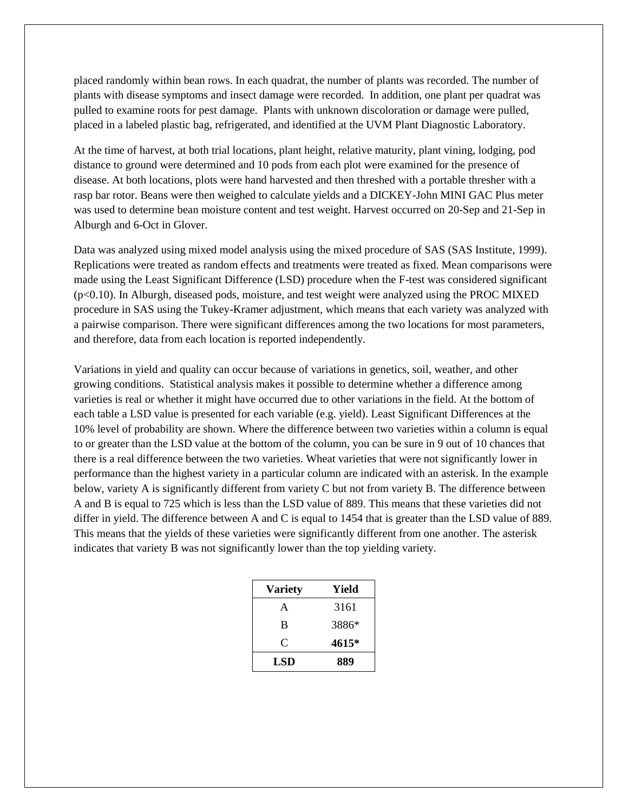placed randomly within bean rows. In each quadrat, the number of plants was recorded. The number of plants with disease symptoms and insect damage were recorded. In addition, one plant per quadrat was pulled to examine roots for pest damage. Plants with unknown discoloration or damage were pulled, placed in a labeled plastic bag, refrigerated, and identified at the UVM Plant Diagnostic Laboratory.

At the time of harvest, at both trial locations, plant height, relative maturity, plant vining, lodging, pod distance to ground were determined and 10 pods from each plot were examined for the presence of disease. At both locations, plots were hand harvested and then threshed with a portable thresher with a rasp bar rotor. Beans were then weighed to calculate yields and a DICKEY-John MINI GAC Plus meter was used to determine bean moisture content and test weight. Harvest occurred on 20-Sep and 21-Sep in Alburgh and 6-Oct in Glover.

Data was analyzed using mixed model analysis using the mixed procedure of SAS (SAS Institute, 1999). Replications were treated as random effects and treatments were treated as fixed. Mean comparisons were made using the Least Significant Difference (LSD) procedure when the F-test was considered significant (p<0.10). In Alburgh, diseased pods, moisture, and test weight were analyzed using the PROC MIXED procedure in SAS using the Tukey-Kramer adjustment, which means that each variety was analyzed with a pairwise comparison. There were significant differences among the two locations for most parameters, and therefore, data from each location is reported independently.

Variations in yield and quality can occur because of variations in genetics, soil, weather, and other growing conditions. Statistical analysis makes it possible to determine whether a difference among varieties is real or whether it might have occurred due to other variations in the field. At the bottom of each table a LSD value is presented for each variable (e.g. yield). Least Significant Differences at the 10% level of probability are shown. Where the difference between two varieties within a column is equal to or greater than the LSD value at the bottom of the column, you can be sure in 9 out of 10 chances that there is a real difference between the two varieties. Wheat varieties that were not significantly lower in performance than the highest variety in a particular column are indicated with an asterisk. In the example below, variety A is significantly different from variety C but not from variety B. The difference between A and B is equal to 725 which is less than the LSD value of 889. This means that these varieties did not differ in yield. The difference between A and C is equal to 1454 that is greater than the LSD value of 889. This means that the yields of these varieties were significantly different from one another. The asterisk indicates that variety B was not significantly lower than the top yielding variety.

| <b>Variety</b> | Yield |
|----------------|-------|
| A              | 3161  |
| B              | 3886* |
| C              | 4615* |
| LSD            | 889   |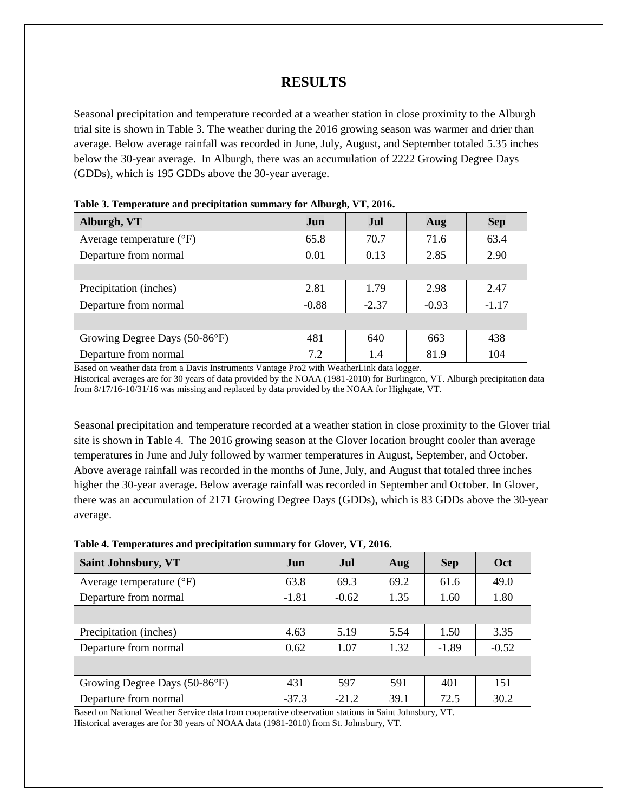# **RESULTS**

Seasonal precipitation and temperature recorded at a weather station in close proximity to the Alburgh trial site is shown in Table 3. The weather during the 2016 growing season was warmer and drier than average. Below average rainfall was recorded in June, July, August, and September totaled 5.35 inches below the 30-year average. In Alburgh, there was an accumulation of 2222 Growing Degree Days (GDDs), which is 195 GDDs above the 30-year average.

| Alburgh, VT                       | Jun     | Jul     | Aug     | <b>Sep</b> |
|-----------------------------------|---------|---------|---------|------------|
| Average temperature $(^{\circ}F)$ | 65.8    | 70.7    | 71.6    | 63.4       |
| Departure from normal             | 0.01    | 0.13    | 2.85    | 2.90       |
|                                   |         |         |         |            |
| Precipitation (inches)            | 2.81    | 1.79    | 2.98    | 2.47       |
| Departure from normal             | $-0.88$ | $-2.37$ | $-0.93$ | $-1.17$    |
|                                   |         |         |         |            |
| Growing Degree Days (50-86°F)     | 481     | 640     | 663     | 438        |
| Departure from normal             | 7.2     | 1.4     | 81.9    | 104        |

**Table 3. Temperature and precipitation summary for Alburgh, VT, 2016.**

Based on weather data from a Davis Instruments Vantage Pro2 with WeatherLink data logger. Historical averages are for 30 years of data provided by the NOAA (1981-2010) for Burlington, VT. Alburgh precipitation data from 8/17/16-10/31/16 was missing and replaced by data provided by the NOAA for Highgate, VT.

Seasonal precipitation and temperature recorded at a weather station in close proximity to the Glover trial site is shown in Table 4. The 2016 growing season at the Glover location brought cooler than average temperatures in June and July followed by warmer temperatures in August, September, and October. Above average rainfall was recorded in the months of June, July, and August that totaled three inches higher the 30-year average. Below average rainfall was recorded in September and October. In Glover, there was an accumulation of 2171 Growing Degree Days (GDDs), which is 83 GDDs above the 30-year average.

| Table 4. Temperatures and precipitation summary for Glover, VT, 2016. |  |  |
|-----------------------------------------------------------------------|--|--|
|                                                                       |  |  |

| <b>Saint Johnsbury, VT</b>          | <b>Jun</b> | Jul     | Aug  | <b>Sep</b> | Oct     |
|-------------------------------------|------------|---------|------|------------|---------|
| Average temperature $({}^{\circ}F)$ | 63.8       | 69.3    | 69.2 | 61.6       | 49.0    |
| Departure from normal               | $-1.81$    | $-0.62$ | 1.35 | 1.60       | 1.80    |
|                                     |            |         |      |            |         |
| Precipitation (inches)              | 4.63       | 5.19    | 5.54 | 1.50       | 3.35    |
| Departure from normal               | 0.62       | 1.07    | 1.32 | $-1.89$    | $-0.52$ |
|                                     |            |         |      |            |         |
| Growing Degree Days (50-86°F)       | 431        | 597     | 591  | 401        | 151     |
| Departure from normal               | $-37.3$    | $-21.2$ | 39.1 | 72.5       | 30.2    |

Based on National Weather Service data from cooperative observation stations in Saint Johnsbury, VT. Historical averages are for 30 years of NOAA data (1981-2010) from St. Johnsbury, VT.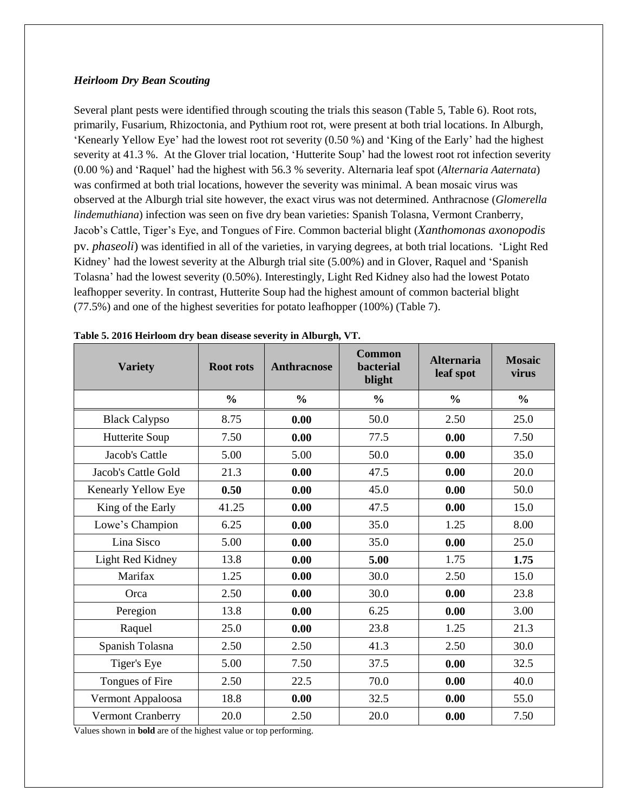#### *Heirloom Dry Bean Scouting*

Several plant pests were identified through scouting the trials this season (Table 5, Table 6). Root rots, primarily, Fusarium, Rhizoctonia, and Pythium root rot, were present at both trial locations. In Alburgh, 'Kenearly Yellow Eye' had the lowest root rot severity (0.50 %) and 'King of the Early' had the highest severity at 41.3 %. At the Glover trial location, 'Hutterite Soup' had the lowest root rot infection severity (0.00 %) and 'Raquel' had the highest with 56.3 % severity. Alternaria leaf spot (*Alternaria Aaternata*) was confirmed at both trial locations, however the severity was minimal. A bean mosaic virus was observed at the Alburgh trial site however, the exact virus was not determined. Anthracnose (*Glomerella lindemuthiana*) infection was seen on five dry bean varieties: Spanish Tolasna, Vermont Cranberry, Jacob's Cattle, Tiger's Eye, and Tongues of Fire. Common bacterial blight (*Xanthomonas axonopodis* pv. *phaseoli*) was identified in all of the varieties, in varying degrees, at both trial locations. 'Light Red Kidney' had the lowest severity at the Alburgh trial site (5.00%) and in Glover, Raquel and 'Spanish Tolasna' had the lowest severity (0.50%). Interestingly, Light Red Kidney also had the lowest Potato leafhopper severity. In contrast, Hutterite Soup had the highest amount of common bacterial blight (77.5%) and one of the highest severities for potato leafhopper (100%) (Table 7).

| <b>Variety</b>       | <b>Root rots</b> | <b>Anthracnose</b> | Common<br><b>bacterial</b><br>blight | <b>Alternaria</b><br>leaf spot | <b>Mosaic</b><br>virus |
|----------------------|------------------|--------------------|--------------------------------------|--------------------------------|------------------------|
|                      | $\frac{0}{0}$    | $\frac{0}{0}$      | $\frac{0}{0}$                        | $\frac{0}{0}$                  | $\frac{0}{0}$          |
| <b>Black Calypso</b> | 8.75             | 0.00               | 50.0                                 | 2.50                           | 25.0                   |
| Hutterite Soup       | 7.50             | 0.00               | 77.5                                 | 0.00                           | 7.50                   |
| Jacob's Cattle       | 5.00             | 5.00               | 50.0                                 | 0.00                           | 35.0                   |
| Jacob's Cattle Gold  | 21.3             | 0.00               | 47.5                                 | 0.00                           | 20.0                   |
| Kenearly Yellow Eye  | 0.50             | 0.00               | 45.0                                 | 0.00                           | 50.0                   |
| King of the Early    | 41.25            | 0.00               | 47.5                                 | 0.00                           | 15.0                   |
| Lowe's Champion      | 6.25             | 0.00               | 35.0                                 | 1.25                           | 8.00                   |
| Lina Sisco           | 5.00             | 0.00               | 35.0                                 | 0.00                           | 25.0                   |
| Light Red Kidney     | 13.8             | 0.00               | 5.00                                 | 1.75                           | 1.75                   |
| Marifax              | 1.25             | 0.00               | 30.0                                 | 2.50                           | 15.0                   |
| Orca                 | 2.50             | 0.00               | 30.0                                 | 0.00                           | 23.8                   |
| Peregion             | 13.8             | 0.00               | 6.25                                 | 0.00                           | 3.00                   |
| Raquel               | 25.0             | 0.00               | 23.8                                 | 1.25                           | 21.3                   |
| Spanish Tolasna      | 2.50             | 2.50               | 41.3                                 | 2.50                           | 30.0                   |
| Tiger's Eye          | 5.00             | 7.50               | 37.5                                 | 0.00                           | 32.5                   |
| Tongues of Fire      | 2.50             | 22.5               | 70.0                                 | 0.00                           | 40.0                   |
| Vermont Appaloosa    | 18.8             | 0.00               | 32.5                                 | 0.00                           | 55.0                   |
| Vermont Cranberry    | 20.0             | 2.50               | 20.0                                 | 0.00                           | 7.50                   |

**Table 5. 2016 Heirloom dry bean disease severity in Alburgh, VT.**

Values shown in **bold** are of the highest value or top performing.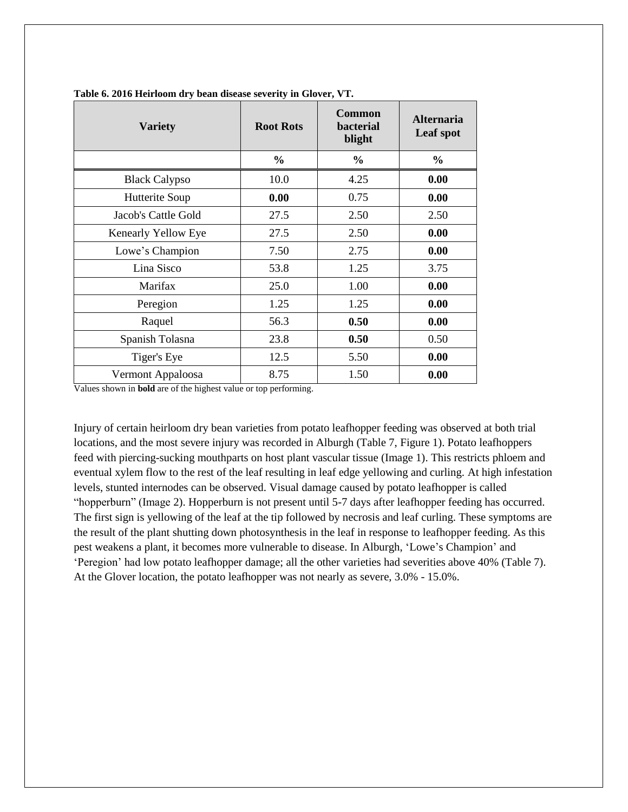| <b>Variety</b>       | <b>Root Rots</b> | <b>Common</b><br>bacterial<br>blight | <b>Alternaria</b><br>Leaf spot |
|----------------------|------------------|--------------------------------------|--------------------------------|
|                      | $\frac{0}{0}$    | $\frac{0}{0}$                        | $\frac{0}{0}$                  |
| <b>Black Calypso</b> | 10.0             | 4.25                                 | 0.00                           |
| Hutterite Soup       | 0.00             | 0.75                                 | 0.00                           |
| Jacob's Cattle Gold  | 27.5             | 2.50                                 | 2.50                           |
| Kenearly Yellow Eye  | 27.5             | 2.50                                 | 0.00                           |
| Lowe's Champion      | 7.50             | 2.75                                 | 0.00                           |
| Lina Sisco           | 53.8             | 1.25                                 | 3.75                           |
| Marifax              | 25.0             | 1.00                                 | 0.00                           |
| Peregion             | 1.25             | 1.25                                 | 0.00                           |
| Raquel               | 56.3             | 0.50                                 | 0.00                           |
| Spanish Tolasna      | 23.8             | 0.50                                 | 0.50                           |
| Tiger's Eye          | 12.5             | 5.50                                 | 0.00                           |
| Vermont Appaloosa    | 8.75             | 1.50                                 | 0.00                           |

**Table 6. 2016 Heirloom dry bean disease severity in Glover, VT.**

Values shown in **bold** are of the highest value or top performing.

Injury of certain heirloom dry bean varieties from potato leafhopper feeding was observed at both trial locations, and the most severe injury was recorded in Alburgh (Table 7, Figure 1). Potato leafhoppers feed with piercing-sucking mouthparts on host plant vascular tissue (Image 1). This restricts phloem and eventual xylem flow to the rest of the leaf resulting in leaf edge yellowing and curling. At high infestation levels, stunted internodes can be observed. Visual damage caused by potato leafhopper is called "hopperburn" (Image 2). Hopperburn is not present until 5-7 days after leafhopper feeding has occurred. The first sign is yellowing of the leaf at the tip followed by necrosis and leaf curling. These symptoms are the result of the plant shutting down photosynthesis in the leaf in response to leafhopper feeding. As this pest weakens a plant, it becomes more vulnerable to disease. In Alburgh, 'Lowe's Champion' and 'Peregion' had low potato leafhopper damage; all the other varieties had severities above 40% (Table 7). At the Glover location, the potato leafhopper was not nearly as severe, 3.0% - 15.0%.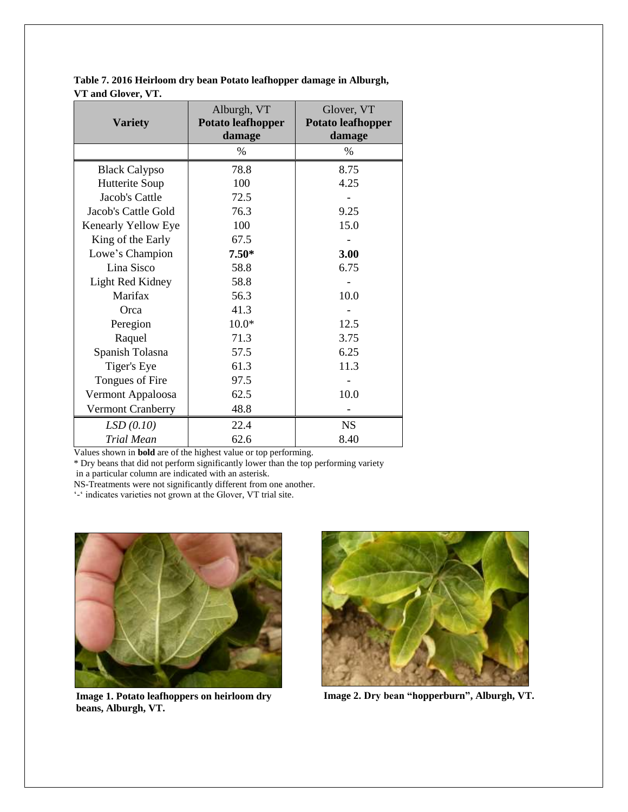**Table 7. 2016 Heirloom dry bean Potato leafhopper damage in Alburgh, VT and Glover, VT.**

| <b>Variety</b>       | Alburgh, VT<br><b>Potato leafhopper</b><br>damage | Glover, VT<br><b>Potato leafhopper</b><br>damage |
|----------------------|---------------------------------------------------|--------------------------------------------------|
|                      | $\%$                                              | $\%$                                             |
| <b>Black Calypso</b> | 78.8                                              | 8.75                                             |
| Hutterite Soup       | 100                                               | 4.25                                             |
| Jacob's Cattle       | 72.5                                              |                                                  |
| Jacob's Cattle Gold  | 76.3                                              | 9.25                                             |
| Kenearly Yellow Eye  | 100                                               | 15.0                                             |
| King of the Early    | 67.5                                              |                                                  |
| Lowe's Champion      | $7.50*$                                           | 3.00                                             |
| Lina Sisco           | 58.8                                              | 6.75                                             |
| Light Red Kidney     | 58.8                                              |                                                  |
| Marifax              | 56.3                                              | 10.0                                             |
| Orca                 | 41.3                                              |                                                  |
| Peregion             | $10.0*$                                           | 12.5                                             |
| Raquel               | 71.3                                              | 3.75                                             |
| Spanish Tolasna      | 57.5                                              | 6.25                                             |
| Tiger's Eye          | 61.3                                              | 11.3                                             |
| Tongues of Fire      | 97.5                                              |                                                  |
| Vermont Appaloosa    | 62.5                                              | 10.0                                             |
| Vermont Cranberry    | 48.8                                              |                                                  |
| LSD(0.10)            | 22.4                                              | <b>NS</b>                                        |
| Trial Mean           | 62.6                                              | 8.40                                             |

Values shown in **bold** are of the highest value or top performing.

\* Dry beans that did not perform significantly lower than the top performing variety

in a particular column are indicated with an asterisk.

NS-Treatments were not significantly different from one another.

'-' indicates varieties not grown at the Glover, VT trial site.



**Image 1. Potato leafhoppers on heirloom dry beans, Alburgh, VT.**



**Image 2. Dry bean "hopperburn", Alburgh, VT.**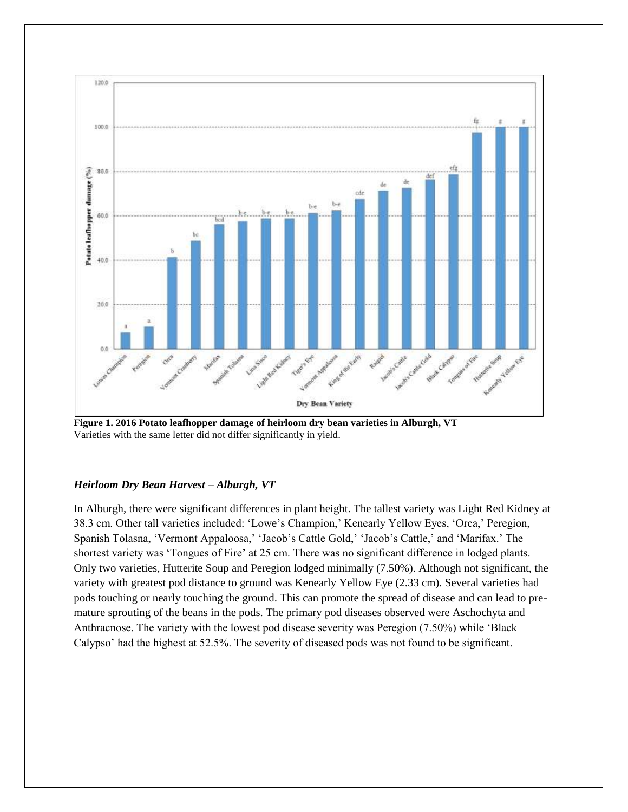

**Figure 1. 2016 Potato leafhopper damage of heirloom dry bean varieties in Alburgh, VT**  Varieties with the same letter did not differ significantly in yield.

## *Heirloom Dry Bean Harvest – Alburgh, VT*

In Alburgh, there were significant differences in plant height. The tallest variety was Light Red Kidney at 38.3 cm. Other tall varieties included: 'Lowe's Champion,' Kenearly Yellow Eyes, 'Orca,' Peregion, Spanish Tolasna, 'Vermont Appaloosa,' 'Jacob's Cattle Gold,' 'Jacob's Cattle,' and 'Marifax.' The shortest variety was 'Tongues of Fire' at 25 cm. There was no significant difference in lodged plants. Only two varieties, Hutterite Soup and Peregion lodged minimally (7.50%). Although not significant, the variety with greatest pod distance to ground was Kenearly Yellow Eye (2.33 cm). Several varieties had pods touching or nearly touching the ground. This can promote the spread of disease and can lead to premature sprouting of the beans in the pods. The primary pod diseases observed were Aschochyta and Anthracnose. The variety with the lowest pod disease severity was Peregion (7.50%) while 'Black Calypso' had the highest at 52.5%. The severity of diseased pods was not found to be significant.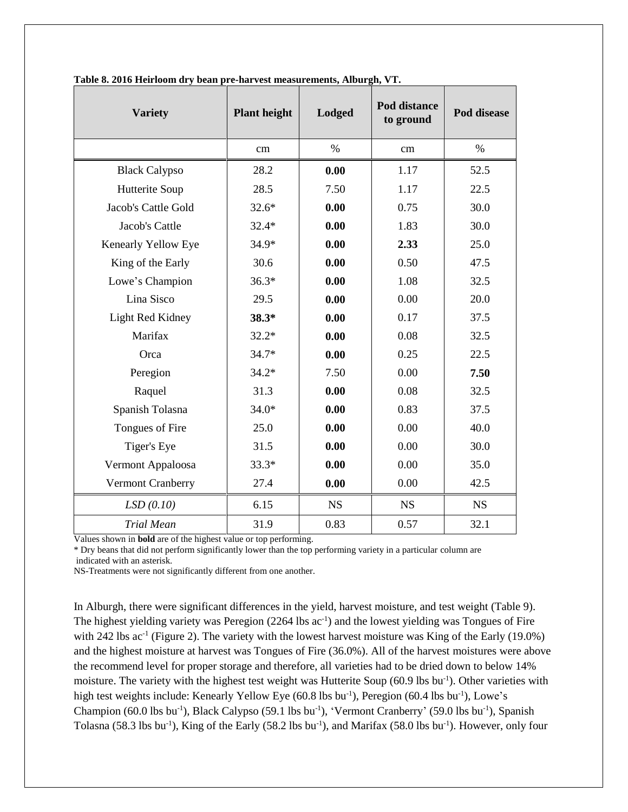| <b>Variety</b>       | <b>Plant height</b> | <b>Lodged</b> | Pod distance<br>to ground | Pod disease |
|----------------------|---------------------|---------------|---------------------------|-------------|
|                      | cm                  | $\%$          | cm                        | $\%$        |
| <b>Black Calypso</b> | 28.2                | 0.00          | 1.17                      | 52.5        |
| Hutterite Soup       | 28.5                | 7.50          | 1.17                      | 22.5        |
| Jacob's Cattle Gold  | $32.6*$             | 0.00          | 0.75                      | 30.0        |
| Jacob's Cattle       | $32.4*$             | 0.00          | 1.83                      | 30.0        |
| Kenearly Yellow Eye  | 34.9*               | 0.00          | 2.33                      | 25.0        |
| King of the Early    | 30.6                | 0.00          | 0.50                      | 47.5        |
| Lowe's Champion      | $36.3*$             | 0.00          | 1.08                      | 32.5        |
| Lina Sisco           | 29.5                | 0.00          | 0.00                      | 20.0        |
| Light Red Kidney     | $38.3*$             | 0.00          | 0.17                      | 37.5        |
| Marifax              | $32.2*$             | 0.00          | 0.08                      | 32.5        |
| Orca                 | $34.7*$             | 0.00          | 0.25                      | 22.5        |
| Peregion             | $34.2*$             | 7.50          | 0.00                      | 7.50        |
| Raquel               | 31.3                | 0.00          | 0.08                      | 32.5        |
| Spanish Tolasna      | $34.0*$             | 0.00          | 0.83                      | 37.5        |
| Tongues of Fire      | 25.0                | 0.00          | 0.00                      | 40.0        |
| Tiger's Eye          | 31.5                | 0.00          | 0.00                      | 30.0        |
| Vermont Appaloosa    | $33.3*$             | 0.00          | 0.00                      | 35.0        |
| Vermont Cranberry    | 27.4                | 0.00          | 0.00                      | 42.5        |
| LSD(0.10)            | 6.15                | <b>NS</b>     | <b>NS</b>                 | <b>NS</b>   |
| <b>Trial Mean</b>    | 31.9                | 0.83          | 0.57                      | 32.1        |

**Table 8. 2016 Heirloom dry bean pre-harvest measurements, Alburgh, VT.**

Values shown in **bold** are of the highest value or top performing.

\* Dry beans that did not perform significantly lower than the top performing variety in a particular column are indicated with an asterisk.

NS-Treatments were not significantly different from one another.

In Alburgh, there were significant differences in the yield, harvest moisture, and test weight (Table 9). The highest yielding variety was Peregion (2264 lbs ac<sup>-1</sup>) and the lowest yielding was Tongues of Fire with 242 lbs  $ac^{-1}$  (Figure 2). The variety with the lowest harvest moisture was King of the Early (19.0%) and the highest moisture at harvest was Tongues of Fire (36.0%). All of the harvest moistures were above the recommend level for proper storage and therefore, all varieties had to be dried down to below 14% moisture. The variety with the highest test weight was Hutterite Soup (60.9 lbs bu<sup>-1</sup>). Other varieties with high test weights include: Kenearly Yellow Eye (60.8 lbs bu<sup>-1</sup>), Peregion (60.4 lbs bu<sup>-1</sup>), Lowe's Champion (60.0 lbs bu<sup>-1</sup>), Black Calypso (59.1 lbs bu<sup>-1</sup>), 'Vermont Cranberry' (59.0 lbs bu<sup>-1</sup>), Spanish Tolasna (58.3 lbs bu<sup>-1</sup>), King of the Early (58.2 lbs bu<sup>-1</sup>), and Marifax (58.0 lbs bu<sup>-1</sup>). However, only four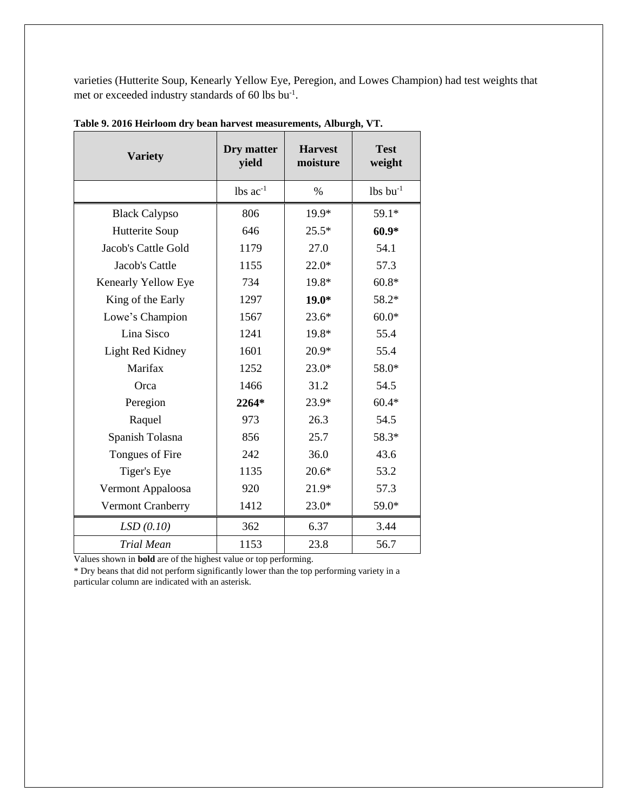varieties (Hutterite Soup, Kenearly Yellow Eye, Peregion, and Lowes Champion) had test weights that met or exceeded industry standards of 60 lbs bu<sup>-1</sup>.

| <b>Variety</b>       | Dry matter<br>yield    | <b>Harvest</b><br>moisture | <b>Test</b><br>weight  |
|----------------------|------------------------|----------------------------|------------------------|
|                      | $lbs$ ac <sup>-1</sup> | $\%$                       | $lbs$ bu <sup>-1</sup> |
| <b>Black Calypso</b> | 806                    | 19.9*                      | $59.1*$                |
| Hutterite Soup       | 646                    | $25.5*$                    | $60.9*$                |
| Jacob's Cattle Gold  | 1179                   | 27.0                       | 54.1                   |
| Jacob's Cattle       | 1155                   | $22.0*$                    | 57.3                   |
| Kenearly Yellow Eye  | 734                    | 19.8*                      | $60.8*$                |
| King of the Early    | 1297                   | $19.0*$                    | 58.2*                  |
| Lowe's Champion      | 1567                   | $23.6*$                    | $60.0*$                |
| Lina Sisco           | 1241                   | 19.8*                      | 55.4                   |
| Light Red Kidney     | 1601                   | $20.9*$                    | 55.4                   |
| Marifax              | 1252                   | $23.0*$                    | 58.0*                  |
| Orca                 | 1466                   | 31.2                       | 54.5                   |
| Peregion             | 2264*                  | 23.9*                      | $60.4*$                |
| Raquel               | 973                    | 26.3                       | 54.5                   |
| Spanish Tolasna      | 856                    | 25.7                       | 58.3*                  |
| Tongues of Fire      | 242                    | 36.0                       | 43.6                   |
| Tiger's Eye          | 1135                   | $20.6*$                    | 53.2                   |
| Vermont Appaloosa    | 920                    | $21.9*$                    | 57.3                   |
| Vermont Cranberry    | 1412                   | $23.0*$                    | 59.0*                  |
| LSD(0.10)            | 362                    | 6.37                       | 3.44                   |
| <b>Trial Mean</b>    | 1153                   | 23.8                       | 56.7                   |

**Table 9. 2016 Heirloom dry bean harvest measurements, Alburgh, VT.**

Values shown in **bold** are of the highest value or top performing.

\* Dry beans that did not perform significantly lower than the top performing variety in a particular column are indicated with an asterisk.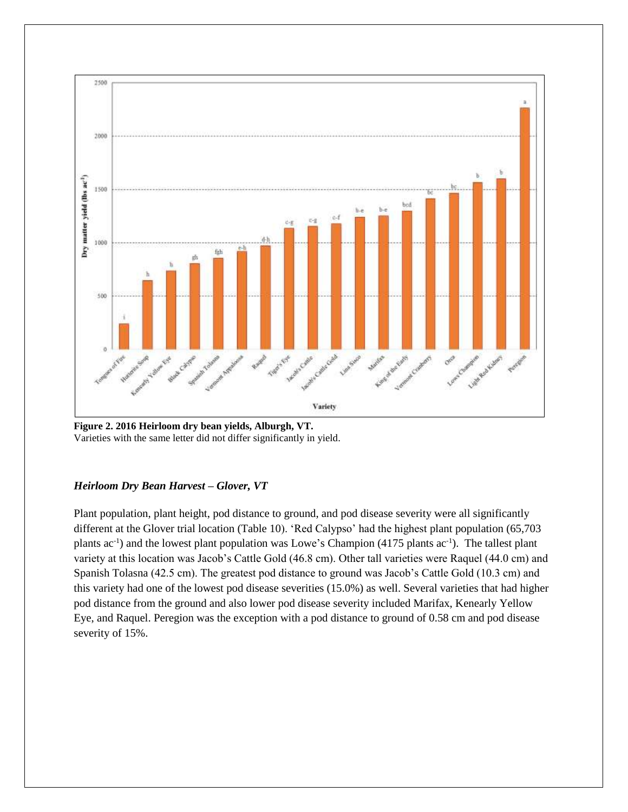

**Figure 2. 2016 Heirloom dry bean yields, Alburgh, VT.** Varieties with the same letter did not differ significantly in yield.

### *Heirloom Dry Bean Harvest – Glover, VT*

Plant population, plant height, pod distance to ground, and pod disease severity were all significantly different at the Glover trial location (Table 10). 'Red Calypso' had the highest plant population (65,703 plants ac<sup>-1</sup>) and the lowest plant population was Lowe's Champion (4175 plants ac<sup>-1</sup>). The tallest plant variety at this location was Jacob's Cattle Gold (46.8 cm). Other tall varieties were Raquel (44.0 cm) and Spanish Tolasna (42.5 cm). The greatest pod distance to ground was Jacob's Cattle Gold (10.3 cm) and this variety had one of the lowest pod disease severities (15.0%) as well. Several varieties that had higher pod distance from the ground and also lower pod disease severity included Marifax, Kenearly Yellow Eye, and Raquel. Peregion was the exception with a pod distance to ground of 0.58 cm and pod disease severity of 15%.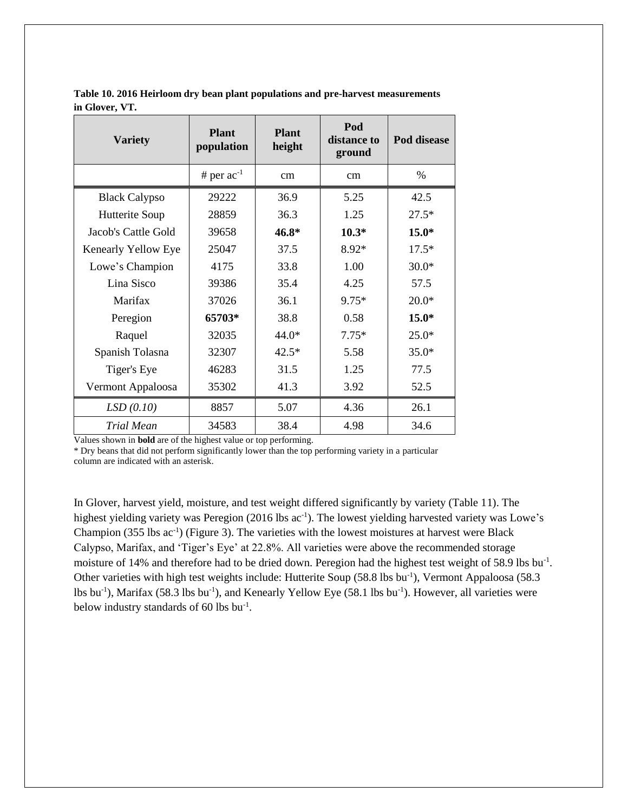| <b>Variety</b>       | <b>Plant</b><br>population | <b>Plant</b><br>height | Pod<br>distance to<br>ground | Pod disease |
|----------------------|----------------------------|------------------------|------------------------------|-------------|
|                      | # per $ac^{-1}$            | cm                     | cm                           | $\%$        |
| <b>Black Calypso</b> | 29222                      | 36.9                   | 5.25                         | 42.5        |
| Hutterite Soup       | 28859                      | 36.3                   | 1.25                         | $27.5*$     |
| Jacob's Cattle Gold  | 39658                      | $46.8*$                | $10.3*$                      | $15.0*$     |
| Kenearly Yellow Eye  | 25047                      | 37.5                   | 8.92*                        | $17.5*$     |
| Lowe's Champion      | 4175                       | 33.8                   | 1.00                         | $30.0*$     |
| Lina Sisco           | 39386                      | 35.4                   | 4.25                         | 57.5        |
| Marifax              | 37026                      | 36.1                   | $9.75*$                      | $20.0*$     |
| Peregion             | 65703*                     | 38.8                   | 0.58                         | $15.0*$     |
| Raquel               | 32035                      | 44.0*                  | $7.75*$                      | $25.0*$     |
| Spanish Tolasna      | 32307                      | $42.5*$                | 5.58                         | $35.0*$     |
| Tiger's Eye          | 46283                      | 31.5                   | 1.25                         | 77.5        |
| Vermont Appaloosa    | 35302                      | 41.3                   | 3.92                         | 52.5        |
| LSD(0.10)            | 8857                       | 5.07                   | 4.36                         | 26.1        |
| Trial Mean           | 34583                      | 38.4                   | 4.98                         | 34.6        |

**Table 10. 2016 Heirloom dry bean plant populations and pre-harvest measurements in Glover, VT.**

Values shown in **bold** are of the highest value or top performing.

\* Dry beans that did not perform significantly lower than the top performing variety in a particular column are indicated with an asterisk.

In Glover, harvest yield, moisture, and test weight differed significantly by variety (Table 11). The highest yielding variety was Peregion (2016 lbs ac<sup>-1</sup>). The lowest yielding harvested variety was Lowe's Champion  $(355$  lbs  $ac^{-1}$ ) (Figure 3). The varieties with the lowest moistures at harvest were Black Calypso, Marifax, and 'Tiger's Eye' at 22.8%. All varieties were above the recommended storage moisture of 14% and therefore had to be dried down. Peregion had the highest test weight of 58.9 lbs bu<sup>-1</sup>. Other varieties with high test weights include: Hutterite Soup (58.8 lbs bu<sup>-1</sup>), Vermont Appaloosa (58.3 lbs bu<sup>-1</sup>), Marifax (58.3 lbs bu<sup>-1</sup>), and Kenearly Yellow Eye (58.1 lbs bu<sup>-1</sup>). However, all varieties were below industry standards of 60 lbs bu<sup>-1</sup>.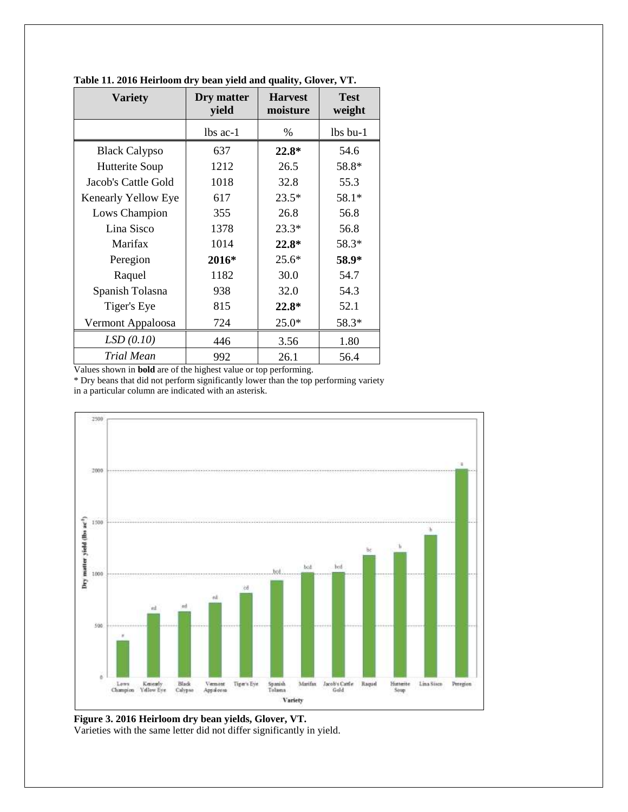| <b>Variety</b>       | Dry matter<br>yield | <b>Harvest</b><br>moisture | <b>Test</b><br>weight |
|----------------------|---------------------|----------------------------|-----------------------|
|                      | $lbs$ ac-1          | $\%$                       | lbs bu-1              |
| <b>Black Calypso</b> | 637                 | 22.8*                      | 54.6                  |
| Hutterite Soup       | 1212                | 26.5                       | 58.8*                 |
| Jacob's Cattle Gold  | 1018                | 32.8                       | 55.3                  |
| Kenearly Yellow Eye  | 617                 | $23.5*$                    | 58.1*                 |
| Lows Champion        | 355                 | 26.8                       | 56.8                  |
| Lina Sisco           | 1378                | $23.3*$                    | 56.8                  |
| Marifax              | 1014                | $22.8*$                    | 58.3*                 |
| Peregion             | 2016*               | $25.6*$                    | 58.9*                 |
| Raquel               | 1182                | 30.0                       | 54.7                  |
| Spanish Tolasna      | 938                 | 32.0                       | 54.3                  |
| Tiger's Eye          | 815                 | $22.8*$                    | 52.1                  |
| Vermont Appaloosa    | 724                 | $25.0*$                    | 58.3*                 |
| LSD(0.10)            | 446                 | 3.56                       | 1.80                  |
| Trial Mean           | 992                 | 26.1                       | 56.4                  |

**Table 11. 2016 Heirloom dry bean yield and quality, Glover, VT.**

Values shown in **bold** are of the highest value or top performing.

\* Dry beans that did not perform significantly lower than the top performing variety

in a particular column are indicated with an asterisk.